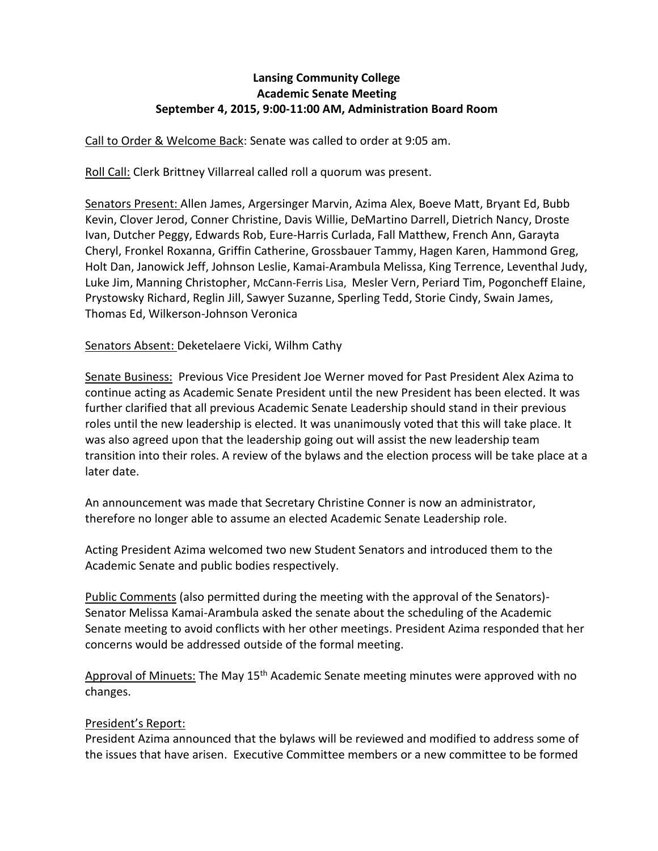# **Lansing Community College Academic Senate Meeting September 4, 2015, 9:00-11:00 AM, Administration Board Room**

Call to Order & Welcome Back: Senate was called to order at 9:05 am.

Roll Call: Clerk Brittney Villarreal called roll a quorum was present.

Senators Present: Allen James, Argersinger Marvin, Azima Alex, Boeve Matt, Bryant Ed, Bubb Kevin, Clover Jerod, Conner Christine, Davis Willie, DeMartino Darrell, Dietrich Nancy, Droste Ivan, Dutcher Peggy, Edwards Rob, Eure-Harris Curlada, Fall Matthew, French Ann, Garayta Cheryl, Fronkel Roxanna, Griffin Catherine, Grossbauer Tammy, Hagen Karen, Hammond Greg, Holt Dan, Janowick Jeff, Johnson Leslie, Kamai-Arambula Melissa, King Terrence, Leventhal Judy, Luke Jim, Manning Christopher, McCann-Ferris Lisa, Mesler Vern, Periard Tim, Pogoncheff Elaine, Prystowsky Richard, Reglin Jill, Sawyer Suzanne, Sperling Tedd, Storie Cindy, Swain James, Thomas Ed, Wilkerson-Johnson Veronica

#### Senators Absent: Deketelaere Vicki, Wilhm Cathy

Senate Business: Previous Vice President Joe Werner moved for Past President Alex Azima to continue acting as Academic Senate President until the new President has been elected. It was further clarified that all previous Academic Senate Leadership should stand in their previous roles until the new leadership is elected. It was unanimously voted that this will take place. It was also agreed upon that the leadership going out will assist the new leadership team transition into their roles. A review of the bylaws and the election process will be take place at a later date.

An announcement was made that Secretary Christine Conner is now an administrator, therefore no longer able to assume an elected Academic Senate Leadership role.

Acting President Azima welcomed two new Student Senators and introduced them to the Academic Senate and public bodies respectively.

Public Comments (also permitted during the meeting with the approval of the Senators)-Senator Melissa Kamai-Arambula asked the senate about the scheduling of the Academic Senate meeting to avoid conflicts with her other meetings. President Azima responded that her concerns would be addressed outside of the formal meeting.

Approval of Minuets: The May 15<sup>th</sup> Academic Senate meeting minutes were approved with no changes.

# President's Report:

President Azima announced that the bylaws will be reviewed and modified to address some of the issues that have arisen. Executive Committee members or a new committee to be formed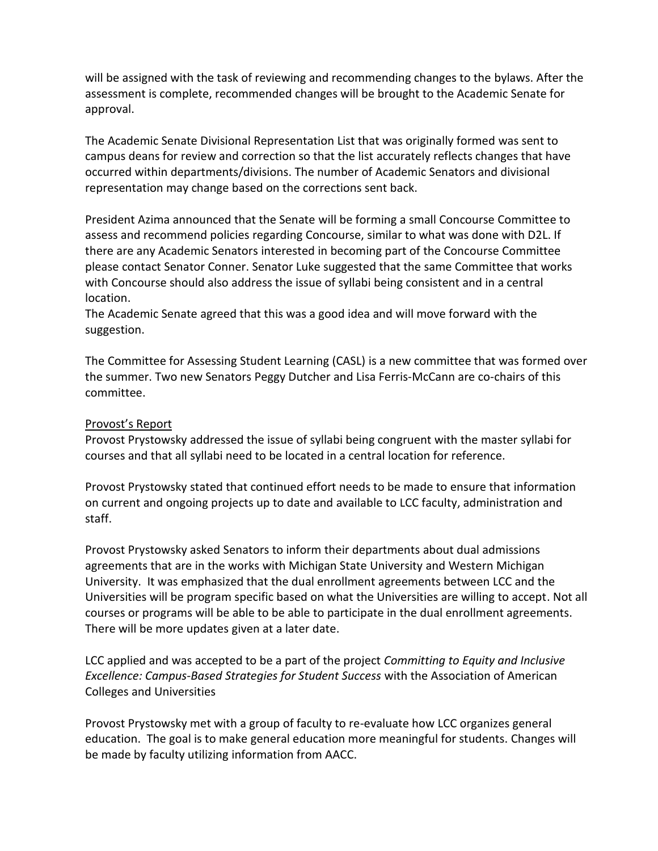will be assigned with the task of reviewing and recommending changes to the bylaws. After the assessment is complete, recommended changes will be brought to the Academic Senate for approval.

The Academic Senate Divisional Representation List that was originally formed was sent to campus deans for review and correction so that the list accurately reflects changes that have occurred within departments/divisions. The number of Academic Senators and divisional representation may change based on the corrections sent back.

President Azima announced that the Senate will be forming a small Concourse Committee to assess and recommend policies regarding Concourse, similar to what was done with D2L. If there are any Academic Senators interested in becoming part of the Concourse Committee please contact Senator Conner. Senator Luke suggested that the same Committee that works with Concourse should also address the issue of syllabi being consistent and in a central location.

The Academic Senate agreed that this was a good idea and will move forward with the suggestion.

The Committee for Assessing Student Learning (CASL) is a new committee that was formed over the summer. Two new Senators Peggy Dutcher and Lisa Ferris-McCann are co-chairs of this committee.

#### Provost's Report

Provost Prystowsky addressed the issue of syllabi being congruent with the master syllabi for courses and that all syllabi need to be located in a central location for reference.

Provost Prystowsky stated that continued effort needs to be made to ensure that information on current and ongoing projects up to date and available to LCC faculty, administration and staff.

Provost Prystowsky asked Senators to inform their departments about dual admissions agreements that are in the works with Michigan State University and Western Michigan University. It was emphasized that the dual enrollment agreements between LCC and the Universities will be program specific based on what the Universities are willing to accept. Not all courses or programs will be able to be able to participate in the dual enrollment agreements. There will be more updates given at a later date.

LCC applied and was accepted to be a part of the project *Committing to Equity and Inclusive Excellence: Campus-Based Strategies for Student Success* with the Association of American Colleges and Universities

Provost Prystowsky met with a group of faculty to re-evaluate how LCC organizes general education. The goal is to make general education more meaningful for students. Changes will be made by faculty utilizing information from AACC.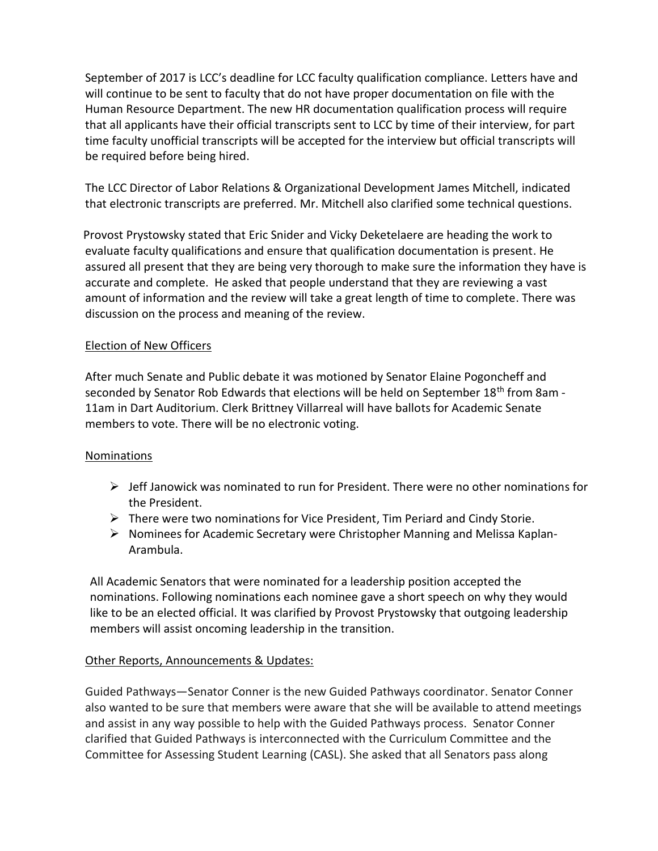September of 2017 is LCC's deadline for LCC faculty qualification compliance. Letters have and will continue to be sent to faculty that do not have proper documentation on file with the Human Resource Department. The new HR documentation qualification process will require that all applicants have their official transcripts sent to LCC by time of their interview, for part time faculty unofficial transcripts will be accepted for the interview but official transcripts will be required before being hired.

The LCC Director of Labor Relations & Organizational Development James Mitchell, indicated that electronic transcripts are preferred. Mr. Mitchell also clarified some technical questions.

 Provost Prystowsky stated that Eric Snider and Vicky Deketelaere are heading the work to evaluate faculty qualifications and ensure that qualification documentation is present. He assured all present that they are being very thorough to make sure the information they have is accurate and complete. He asked that people understand that they are reviewing a vast amount of information and the review will take a great length of time to complete. There was discussion on the process and meaning of the review.

# Election of New Officers

After much Senate and Public debate it was motioned by Senator Elaine Pogoncheff and seconded by Senator Rob Edwards that elections will be held on September 18<sup>th</sup> from 8am -11am in Dart Auditorium. Clerk Brittney Villarreal will have ballots for Academic Senate members to vote. There will be no electronic voting.

#### Nominations

- $\triangleright$  Jeff Janowick was nominated to run for President. There were no other nominations for the President.
- $\triangleright$  There were two nominations for Vice President, Tim Periard and Cindy Storie.
- $\triangleright$  Nominees for Academic Secretary were Christopher Manning and Melissa Kaplan-Arambula.

All Academic Senators that were nominated for a leadership position accepted the nominations. Following nominations each nominee gave a short speech on why they would like to be an elected official. It was clarified by Provost Prystowsky that outgoing leadership members will assist oncoming leadership in the transition.

# Other Reports, Announcements & Updates:

Guided Pathways—Senator Conner is the new Guided Pathways coordinator. Senator Conner also wanted to be sure that members were aware that she will be available to attend meetings and assist in any way possible to help with the Guided Pathways process. Senator Conner clarified that Guided Pathways is interconnected with the Curriculum Committee and the Committee for Assessing Student Learning (CASL). She asked that all Senators pass along